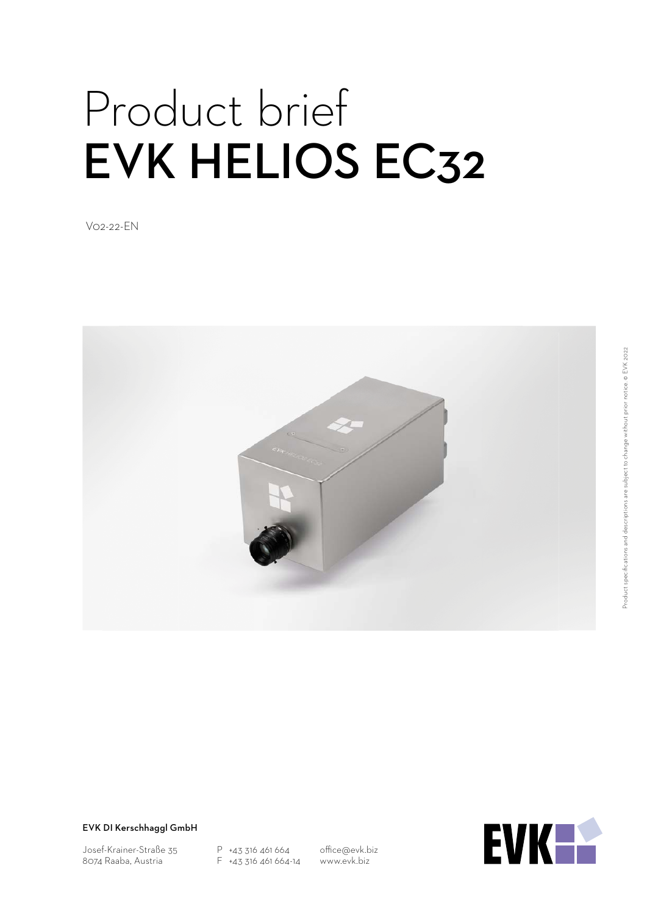## Product brief EVK HELIOS EC32

V02-22-EN



EVK DI Kerschhaggl GmbH

Josef-Krainer-Straße 35 8074 Raaba, Austria

P +43 316 461 664 F +43 316 461 664-14

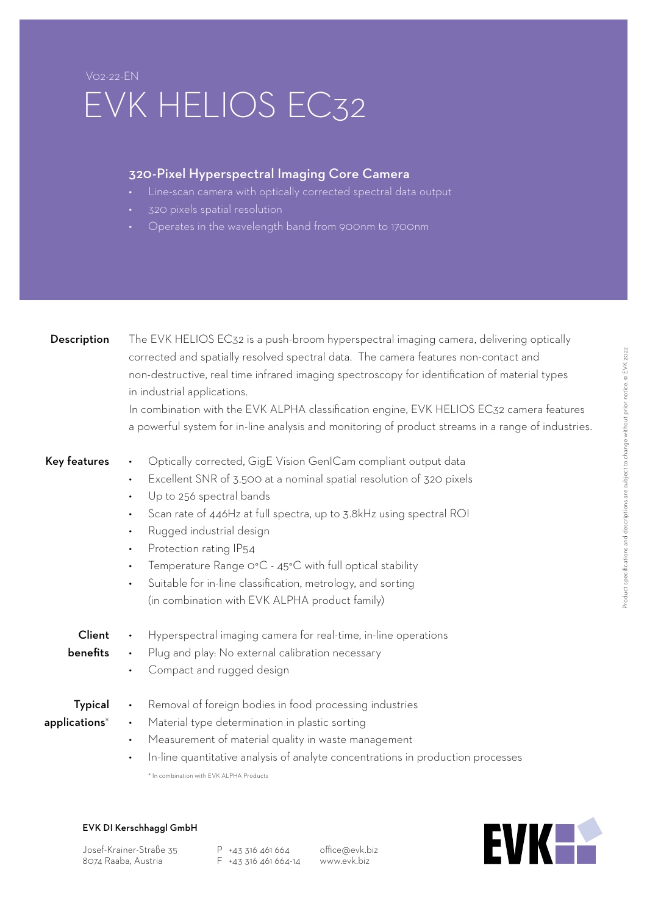### V02-22-EN EVK HELIOS EC32

#### 320-Pixel Hyperspectral Imaging Core Camera

- Line-scan camera with optically corrected spectral data output
- 320 pixels spatial resolution
- Operates in the wavelength band from 900nm to 1700nm

| Description    | The EVK HELIOS EC32 is a push-broom hyperspectral imaging camera, delivering optically<br>corrected and spatially resolved spectral data. The camera features non-contact and<br>non-destructive, real time infrared imaging spectroscopy for identification of material types<br>in industrial applications.<br>In combination with the EVK ALPHA classification engine, EVK HELIOS EC32 camera features<br>a powerful system for in-line analysis and monitoring of product streams in a range of industries.                                                         |
|----------------|-------------------------------------------------------------------------------------------------------------------------------------------------------------------------------------------------------------------------------------------------------------------------------------------------------------------------------------------------------------------------------------------------------------------------------------------------------------------------------------------------------------------------------------------------------------------------|
| Key features   | Optically corrected, GigE Vision GenlCam compliant output data<br>Excellent SNR of 3.500 at a nominal spatial resolution of 320 pixels<br>$\bullet$<br>Up to 256 spectral bands<br>$\bullet$<br>Scan rate of 446Hz at full spectra, up to 3.8kHz using spectral ROI<br>$\bullet$<br>Rugged industrial design<br>$\bullet$<br>Protection rating IP54<br>$\bullet$<br>Temperature Range O°C - 45°C with full optical stability<br>$\bullet$<br>Suitable for in-line classification, metrology, and sorting<br>$\bullet$<br>(in combination with EVK ALPHA product family) |
| Client         | Hyperspectral imaging camera for real-time, in-line operations                                                                                                                                                                                                                                                                                                                                                                                                                                                                                                          |
| benefits       | Plug and play: No external calibration necessary<br>$\bullet$                                                                                                                                                                                                                                                                                                                                                                                                                                                                                                           |
|                | Compact and rugged design<br>$\bullet$                                                                                                                                                                                                                                                                                                                                                                                                                                                                                                                                  |
| <b>Typical</b> | Removal of foreign bodies in food processing industries<br>$\bullet$                                                                                                                                                                                                                                                                                                                                                                                                                                                                                                    |
| applications*  | Material type determination in plastic sorting<br>$\bullet$                                                                                                                                                                                                                                                                                                                                                                                                                                                                                                             |
|                | Measurement of material quality in waste management<br>$\bullet$                                                                                                                                                                                                                                                                                                                                                                                                                                                                                                        |
|                | In-line quantitative analysis of analyte concentrations in production processes<br>$\bullet$                                                                                                                                                                                                                                                                                                                                                                                                                                                                            |
|                | * In combination with EVK ALPHA Products                                                                                                                                                                                                                                                                                                                                                                                                                                                                                                                                |



Product specifications and descriptions are subject to change without prior notice. @ EVK 2022 Product specifications and descriptions are subject to change without prior notice. © EVK 2022

Josef-Krainer-Straße 35 8074 Raaba, Austria

EVK DI Kerschhaggl GmbH

P +43 316 461 664 F +43 316 461 664-14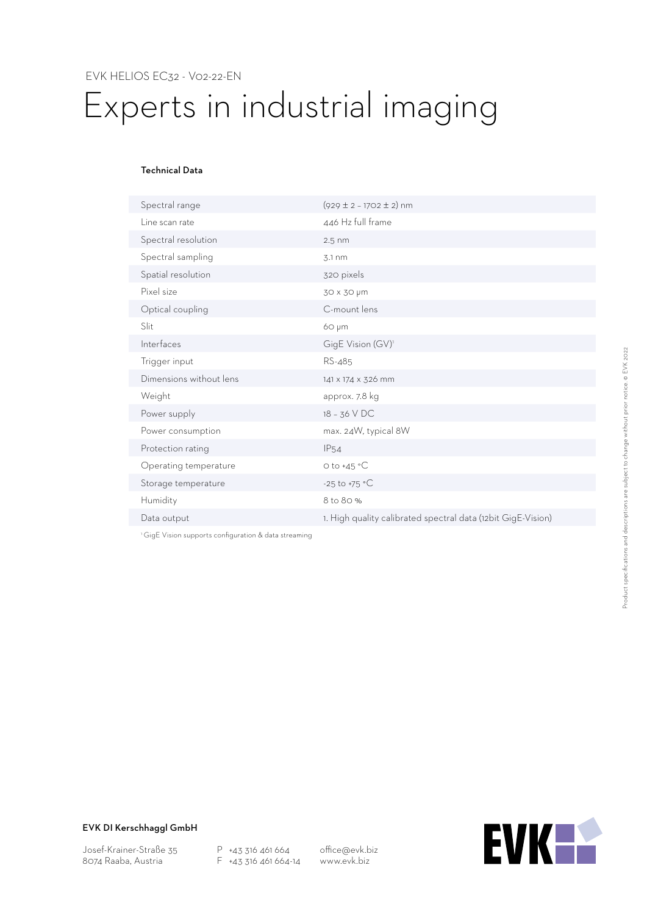## EVK HELIOS EC32 - V02-22-EN Experts in industrial imaging

#### Technical Data

| Spectral range          | $(929 \pm 2 - 1702 \pm 2)$ nm                                |
|-------------------------|--------------------------------------------------------------|
| Line scan rate          | 446 Hz full frame                                            |
| Spectral resolution     | $2.5$ nm                                                     |
| Spectral sampling       | 3.1 nm                                                       |
| Spatial resolution      | 320 pixels                                                   |
| Pixel size              | 30 x 30 µm                                                   |
| Optical coupling        | C-mount lens                                                 |
| Slit                    | 60 µm                                                        |
| Interfaces              | GigE Vision (GV) <sup>1</sup>                                |
| Trigger input           | RS-485                                                       |
| Dimensions without lens | 141 x 174 x 326 mm                                           |
| Weight                  | approx. 7.8 kg                                               |
| Power supply            | 18 - 36 V DC                                                 |
| Power consumption       | max. 24W, typical 8W                                         |
| Protection rating       | IP54                                                         |
| Operating temperature   | $\circ$ to +45 $^{\circ}{\rm C}$                             |
| Storage temperature     | -25 to +75 $^{\circ}$ C                                      |
| Humidity                | 8 to 80 %                                                    |
| Data output             | 1. High quality calibrated spectral data (12bit GigE-Vision) |
|                         |                                                              |

1 GigE Vision supports configuration & data streaming

#### EVK DI Kerschhaggl GmbH

Josef-Krainer-Straße 35 8074 Raaba, Austria

P +43 316 461 664 F +43 316 461 664-14

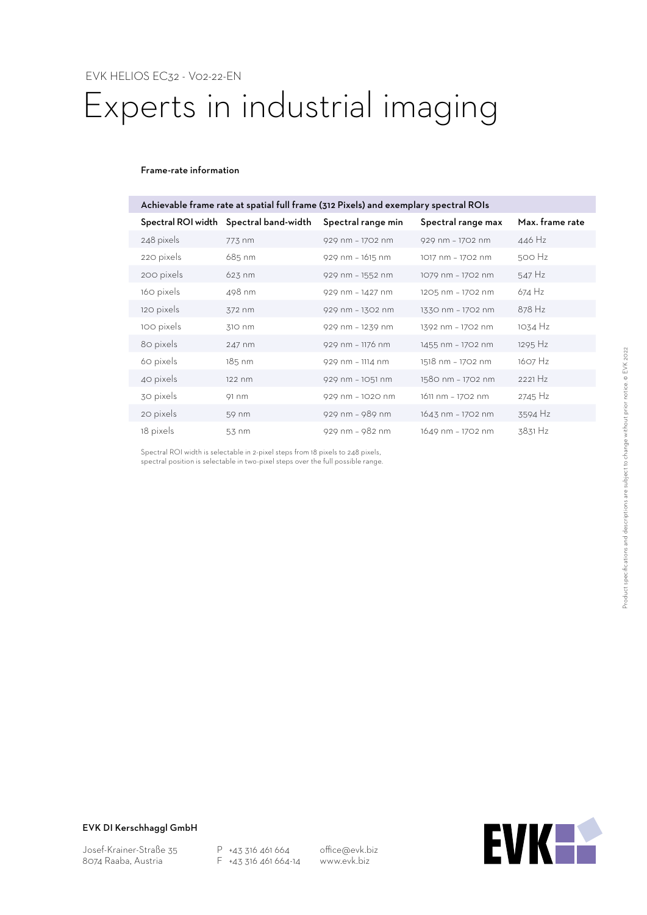## Experts in industrial imaging

#### Frame-rate information

| Achievable frame rate at spatial full frame (312 Pixels) and exemplary spectral ROIs |                                        |                    |                    |                 |
|--------------------------------------------------------------------------------------|----------------------------------------|--------------------|--------------------|-----------------|
|                                                                                      | Spectral ROI width Spectral band-width | Spectral range min | Spectral range max | Max. frame rate |
| 248 pixels                                                                           | 773 nm                                 | 929 nm - 1702 nm   | 929 nm - 1702 nm   | 446 Hz          |
| 220 pixels                                                                           | 685 nm                                 | 929 nm - 1615 nm   | 1017 nm - 1702 nm  | 500 Hz          |
| 200 pixels                                                                           | $623$ nm                               | 929 nm - 1552 nm   | 1079 nm - 1702 nm  | 547 Hz          |
| 160 pixels                                                                           | 498 nm                                 | 929 nm - 1427 nm   | 1205 nm - 1702 nm  | 674 Hz          |
| 120 pixels                                                                           | 372 nm                                 | 929 nm - 1302 nm   | 1330 nm - 1702 nm  | 878 Hz          |
| 100 pixels                                                                           | 310 nm                                 | 929 nm - 1239 nm   | 1392 nm - 1702 nm  | 1034 Hz         |
| 80 pixels                                                                            | 247 nm                                 | 929 nm - 1176 nm   | 1455 nm - 1702 nm  | 1295 Hz         |
| 60 pixels                                                                            | 185 nm                                 | 929 nm - 1114 nm   | 1518 nm - 1702 nm  | 1607 Hz         |
| 40 pixels                                                                            | 122 nm                                 | 929 nm - 1051 nm   | 1580 nm - 1702 nm  | 2221 Hz         |
| 30 pixels                                                                            | 91 nm                                  | 929 nm - 1020 nm   | 1611 nm - 1702 nm  | 2745 Hz         |
| 20 pixels                                                                            | 59 nm                                  | 929 nm - 989 nm    | 1643 nm - 1702 nm  | 3594 Hz         |
| 18 pixels                                                                            | 53 nm                                  | 929 nm - 982 nm    | 1649 nm - 1702 nm  | 3831 Hz         |

Spectral ROI width is selectable in 2-pixel steps from 18 pixels to 248 pixels, spectral position is selectable in two-pixel steps over the full possible range.

#### EVK DI Kerschhaggl GmbH

Josef-Krainer-Straße 35 8074 Raaba, Austria

P +43 316 461 664 F +43 316 461 664-14